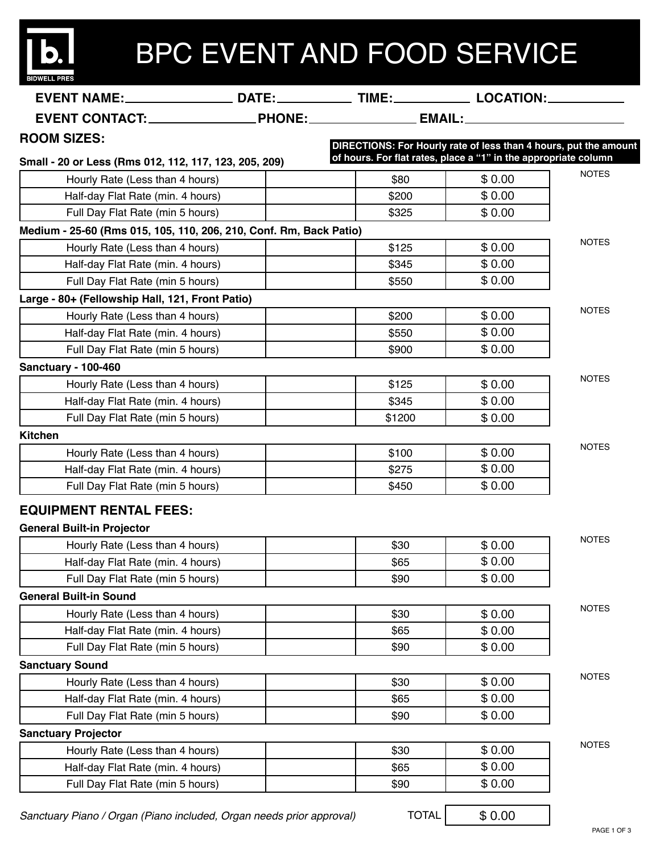| <b>BIDWELL PR</b> |  |  |  |
|-------------------|--|--|--|

## BPC EVENT AND FOOD SERVICE

| EVENT NAME:_______________________DATE:________________TIME:__________________LOCATION:____________ |  |                                                                  |        |              |  |  |
|-----------------------------------------------------------------------------------------------------|--|------------------------------------------------------------------|--------|--------------|--|--|
|                                                                                                     |  |                                                                  |        |              |  |  |
| <b>ROOM SIZES:</b>                                                                                  |  | DIRECTIONS: For Hourly rate of less than 4 hours, put the amount |        |              |  |  |
| Small - 20 or Less (Rms 012, 112, 117, 123, 205, 209)                                               |  | of hours. For flat rates, place a "1" in the appropriate column  |        |              |  |  |
| Hourly Rate (Less than 4 hours)                                                                     |  | \$80                                                             | \$0.00 | <b>NOTES</b> |  |  |
| Half-day Flat Rate (min. 4 hours)                                                                   |  | \$200                                                            | \$0.00 |              |  |  |
| Full Day Flat Rate (min 5 hours)                                                                    |  | \$325                                                            | \$0.00 |              |  |  |
| Medium - 25-60 (Rms 015, 105, 110, 206, 210, Conf. Rm, Back Patio)                                  |  |                                                                  |        |              |  |  |
| Hourly Rate (Less than 4 hours)                                                                     |  | \$125                                                            | \$0.00 | <b>NOTES</b> |  |  |
| Half-day Flat Rate (min. 4 hours)                                                                   |  | \$345                                                            | \$0.00 |              |  |  |
| Full Day Flat Rate (min 5 hours)                                                                    |  | \$550                                                            | \$0.00 |              |  |  |
| Large - 80+ (Fellowship Hall, 121, Front Patio)                                                     |  |                                                                  |        |              |  |  |
| Hourly Rate (Less than 4 hours)                                                                     |  | \$200                                                            | \$0.00 | <b>NOTES</b> |  |  |
| Half-day Flat Rate (min. 4 hours)                                                                   |  | \$550                                                            | \$0.00 |              |  |  |
| Full Day Flat Rate (min 5 hours)                                                                    |  | \$900                                                            | \$0.00 |              |  |  |
| Sanctuary - 100-460                                                                                 |  |                                                                  |        |              |  |  |
| Hourly Rate (Less than 4 hours)                                                                     |  | \$125                                                            | \$0.00 | <b>NOTES</b> |  |  |
| Half-day Flat Rate (min. 4 hours)                                                                   |  | \$345                                                            | \$0.00 |              |  |  |
| Full Day Flat Rate (min 5 hours)                                                                    |  | \$1200                                                           | \$0.00 |              |  |  |
| <b>Kitchen</b>                                                                                      |  |                                                                  |        |              |  |  |
| Hourly Rate (Less than 4 hours)                                                                     |  | \$100                                                            | \$0.00 | <b>NOTES</b> |  |  |
| Half-day Flat Rate (min. 4 hours)                                                                   |  | \$275                                                            | \$0.00 |              |  |  |
| Full Day Flat Rate (min 5 hours)                                                                    |  | \$450                                                            | \$0.00 |              |  |  |
| <b>EQUIPMENT RENTAL FEES:</b>                                                                       |  |                                                                  |        |              |  |  |
| <b>General Built-in Projector</b>                                                                   |  |                                                                  |        |              |  |  |
| Hourly Rate (Less than 4 hours)                                                                     |  | \$30                                                             | \$0.00 | <b>NOTES</b> |  |  |
| Half-day Flat Rate (min. 4 hours)                                                                   |  | \$65                                                             | \$0.00 |              |  |  |
| Full Day Flat Rate (min 5 hours)                                                                    |  | \$90                                                             | \$0.00 |              |  |  |
| <b>General Built-in Sound</b>                                                                       |  |                                                                  |        |              |  |  |
| Hourly Rate (Less than 4 hours)                                                                     |  | \$30                                                             | \$0.00 | <b>NOTES</b> |  |  |
| Half-day Flat Rate (min. 4 hours)                                                                   |  | \$65                                                             | \$0.00 |              |  |  |
| Full Day Flat Rate (min 5 hours)                                                                    |  | \$90                                                             | \$0.00 |              |  |  |
| <b>Sanctuary Sound</b>                                                                              |  |                                                                  |        |              |  |  |
| Hourly Rate (Less than 4 hours)                                                                     |  | \$30                                                             | \$0.00 | <b>NOTES</b> |  |  |
| Half-day Flat Rate (min. 4 hours)                                                                   |  | \$65                                                             | \$0.00 |              |  |  |
| Full Day Flat Rate (min 5 hours)                                                                    |  | \$90                                                             | \$0.00 |              |  |  |
| <b>Sanctuary Projector</b>                                                                          |  |                                                                  |        |              |  |  |
| Hourly Rate (Less than 4 hours)                                                                     |  | \$30                                                             | \$0.00 | <b>NOTES</b> |  |  |
| Half-day Flat Rate (min. 4 hours)                                                                   |  | \$65                                                             | \$0.00 |              |  |  |
| Full Day Flat Rate (min 5 hours)                                                                    |  | \$90                                                             | \$0.00 |              |  |  |

TOTAL

\$ 0.00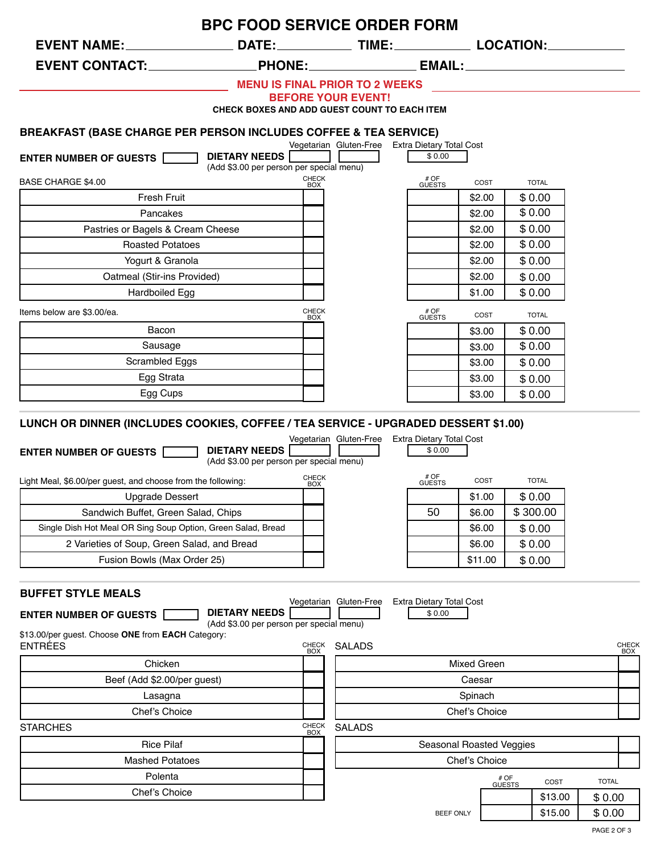| EVENT NAME:_______________________DATE:________________TIME:_________________LOCATION:_____________ | <b>BPC FOOD SERVICE ORDER FORM</b>                               |                                                 |                                    |               |                |         |              |                     |
|-----------------------------------------------------------------------------------------------------|------------------------------------------------------------------|-------------------------------------------------|------------------------------------|---------------|----------------|---------|--------------|---------------------|
| EVENT CONTACT:________________                                                                      |                                                                  |                                                 |                                    |               |                |         |              |                     |
|                                                                                                     | <b>MENU IS FINAL PRIOR TO 2 WEEKS</b>                            |                                                 |                                    |               |                |         |              |                     |
|                                                                                                     | <b>BEFORE YOUR EVENT!</b>                                        |                                                 |                                    |               |                |         |              |                     |
|                                                                                                     | CHECK BOXES AND ADD GUEST COUNT TO EACH ITEM                     |                                                 |                                    |               |                |         |              |                     |
| <b>BREAKFAST (BASE CHARGE PER PERSON INCLUDES COFFEE &amp; TEA SERVICE)</b>                         |                                                                  |                                                 |                                    |               |                |         |              |                     |
|                                                                                                     |                                                                  | Vegetarian Gluten-Free Extra Dietary Total Cost |                                    |               |                |         |              |                     |
| <b>ENTER NUMBER OF GUESTS</b>                                                                       | <b>DIETARY NEEDS</b><br>(Add \$3.00 per person per special menu) |                                                 | \$0.00                             |               |                |         |              |                     |
| <b>BASE CHARGE \$4.00</b>                                                                           | CHECK<br>BOX                                                     |                                                 | # OF<br>GUESTS                     | COST          | <b>TOTAL</b>   |         |              |                     |
| <b>Fresh Fruit</b>                                                                                  |                                                                  |                                                 |                                    | \$2.00        | \$0.00         |         |              |                     |
| Pancakes                                                                                            |                                                                  |                                                 |                                    | \$2.00        | \$0.00         |         |              |                     |
| Pastries or Bagels & Cream Cheese                                                                   |                                                                  |                                                 |                                    | \$2.00        | \$0.00         |         |              |                     |
| <b>Roasted Potatoes</b>                                                                             |                                                                  |                                                 |                                    | \$2.00        | \$0.00         |         |              |                     |
| Yogurt & Granola                                                                                    |                                                                  |                                                 |                                    | \$2.00        | \$0.00         |         |              |                     |
| Oatmeal (Stir-ins Provided)                                                                         |                                                                  |                                                 |                                    | \$2.00        | \$0.00         |         |              |                     |
| Hardboiled Egg                                                                                      |                                                                  |                                                 |                                    | \$1.00        | \$0.00         |         |              |                     |
| Items below are \$3.00/ea.                                                                          | <b>CHECK</b>                                                     |                                                 | # OF<br>GUESTS                     | COST          | <b>TOTAL</b>   |         |              |                     |
| Bacon                                                                                               | <b>BOX</b>                                                       |                                                 |                                    | \$3.00        | \$0.00         |         |              |                     |
| Sausage                                                                                             |                                                                  |                                                 |                                    | \$3.00        | \$0.00         |         |              |                     |
| Scrambled Eggs                                                                                      |                                                                  |                                                 |                                    | \$3.00        | \$0.00         |         |              |                     |
| Egg Strata                                                                                          |                                                                  |                                                 |                                    | \$3.00        | \$0.00         |         |              |                     |
| Egg Cups                                                                                            |                                                                  |                                                 |                                    | \$3.00        | \$0.00         |         |              |                     |
| <b>ENTER NUMBER OF GUESTS</b>                                                                       | <b>DIETARY NEEDS</b><br>(Add \$3.00 per person per special menu) |                                                 | # OF                               |               |                |         |              |                     |
| Light Meal, \$6.00/per guest, and choose from the following:                                        | <b>CHECK</b><br><b>BOX</b>                                       |                                                 | <b>GUESTS</b>                      | COST          | <b>TOTAL</b>   |         |              |                     |
| <b>Upgrade Dessert</b>                                                                              |                                                                  |                                                 |                                    | \$1.00        | \$0.00         |         |              |                     |
| Sandwich Buffet, Green Salad, Chips                                                                 |                                                                  |                                                 | 50                                 | \$6.00        | \$300.00       |         |              |                     |
| Single Dish Hot Meal OR Sing Soup Option, Green Salad, Bread                                        |                                                                  |                                                 |                                    | \$6.00        | \$0.00         |         |              |                     |
| 2 Varieties of Soup, Green Salad, and Bread                                                         |                                                                  |                                                 |                                    | \$6.00        | \$0.00         |         |              |                     |
| Fusion Bowls (Max Order 25)                                                                         |                                                                  |                                                 |                                    | \$11.00       | \$0.00         |         |              |                     |
| <b>BUFFET STYLE MEALS</b>                                                                           |                                                                  |                                                 |                                    |               |                |         |              |                     |
| <b>ENTER NUMBER OF GUESTS</b>                                                                       | <b>DIETARY NEEDS</b>                                             | Vegetarian Gluten-Free                          | Extra Dietary Total Cost<br>\$0.00 |               |                |         |              |                     |
|                                                                                                     | (Add \$3.00 per person per special menu)                         |                                                 |                                    |               |                |         |              |                     |
| \$13.00/per guest. Choose ONE from EACH Category:<br><b>ENTRÉES</b>                                 | CHECK<br>BOX                                                     | <b>SALADS</b>                                   |                                    |               |                |         |              | CHECK<br><b>BOX</b> |
| Chicken                                                                                             |                                                                  |                                                 |                                    | Mixed Green   |                |         |              |                     |
| Beef (Add \$2.00/per guest)                                                                         |                                                                  |                                                 |                                    | Caesar        |                |         |              |                     |
| Lasagna                                                                                             |                                                                  |                                                 |                                    | Spinach       |                |         |              |                     |
| Chef's Choice                                                                                       |                                                                  |                                                 |                                    |               |                |         |              |                     |
|                                                                                                     |                                                                  |                                                 |                                    | Chef's Choice |                |         |              |                     |
|                                                                                                     | CHECK<br>BOX                                                     | <b>SALADS</b>                                   |                                    |               |                |         |              |                     |
| <b>Rice Pilaf</b>                                                                                   |                                                                  |                                                 | Seasonal Roasted Veggies           |               |                |         |              |                     |
| <b>Mashed Potatoes</b>                                                                              |                                                                  |                                                 |                                    | Chef's Choice |                |         |              |                     |
| <b>STARCHES</b><br>Polenta                                                                          |                                                                  |                                                 |                                    |               |                | COST    | <b>TOTAL</b> |                     |
| Chef's Choice                                                                                       |                                                                  |                                                 |                                    |               | # OF<br>GUESTS | \$13.00 | \$0.00       |                     |